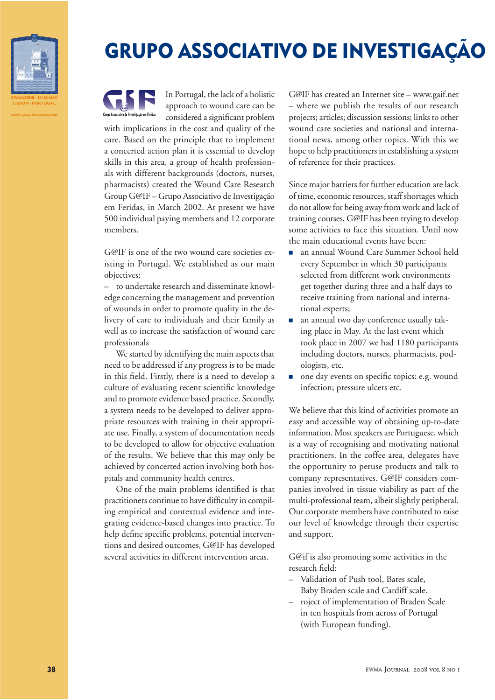

WWW.EWMA.ORG/EWMA2008

## GRUPO ASSOCIATIVO DE INVESTIGAÇÃO



In Portugal, the lack of a holistic approach to wound care can be considered a significant problem

with implications in the cost and quality of the care. Based on the principle that to implement a concerted action plan it is essential to develop skills in this area, a group of health professionals with different backgrounds (doctors, nurses, pharmacists) created the Wound Care Research Group G@IF – Grupo Associativo de Investigação em Feridas, in March 2002. At present we have 500 individual paying members and 12 corporate members.

G@IF is one of the two wound care societies existing in Portugal. We established as our main objectives:

– to undertake research and disseminate knowledge concerning the management and prevention of wounds in order to promote quality in the delivery of care to individuals and their family as well as to increase the satisfaction of wound care professionals

We started by identifying the main aspects that need to be addressed if any progress is to be made in this field. Firstly, there is a need to develop a culture of evaluating recent scientific knowledge and to promote evidence based practice. Secondly, a system needs to be developed to deliver appropriate resources with training in their appropriate use. Finally, a system of documentation needs to be developed to allow for objective evaluation of the results. We believe that this may only be achieved by concerted action involving both hospitals and community health centres.

One of the main problems identified is that practitioners continue to have difficulty in compiling empirical and contextual evidence and integrating evidence-based changes into practice. To help define specific problems, potential interventions and desired outcomes, G@IF has developed several activities in different intervention areas.

G@IF has created an Internet site – www.gaif.net – where we publish the results of our research projects; articles; discussion sessions; links to other wound care societies and national and international news, among other topics. With this we hope to help practitioners in establishing a system of reference for their practices.

Since major barriers for further education are lack of time, economic resources, staff shortages which do not allow for being away from work and lack of training courses, G@IF has been trying to develop some activities to face this situation. Until now the main educational events have been:

- 7 an annual Wound Care Summer School held every September in which 30 participants selected from different work environments get together during three and a half days to receive training from national and international experts;
- an annual two day conference usually taking place in May. At the last event which took place in 2007 we had 1180 participants including doctors, nurses, pharmacists, podologists, etc.
- none day events on specific topics: e.g. wound infection; pressure ulcers etc.

We believe that this kind of activities promote an easy and accessible way of obtaining up-to-date information. Most speakers are Portuguese, which is a way of recognising and motivating national practitioners. In the coffee area, delegates have the opportunity to peruse products and talk to company representatives. G@IF considers companies involved in tissue viability as part of the multi-professional team, albeit slightly peripheral. Our corporate members have contributed to raise our level of knowledge through their expertise and support.

G@if is also promoting some activities in the research field:

- Validation of Push tool, Bates scale, Baby Braden scale and Cardiff scale.
- roject of implementation of Braden Scale in ten hospitals from across of Portugal (with European funding).